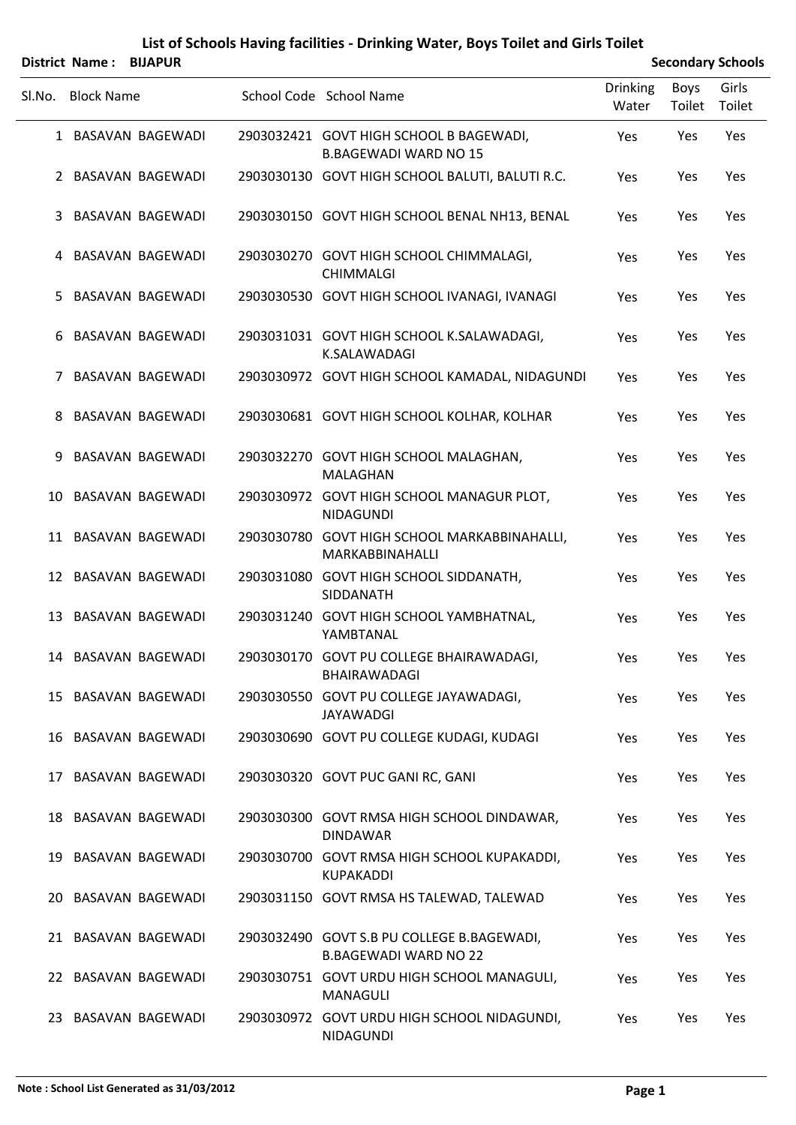|        | District Name: BIJAPUR |                         |                                                                            |                          |                       | <b>Secondary Schools</b> |
|--------|------------------------|-------------------------|----------------------------------------------------------------------------|--------------------------|-----------------------|--------------------------|
| Sl.No. | <b>Block Name</b>      |                         | School Code School Name                                                    | <b>Drinking</b><br>Water | <b>Boys</b><br>Toilet | Girls<br>Toilet          |
|        |                        | 1 BASAVAN BAGEWADI      | 2903032421 GOVT HIGH SCHOOL B BAGEWADI,<br><b>B.BAGEWADI WARD NO 15</b>    | Yes                      | Yes                   | Yes                      |
|        |                        | 2 BASAVAN BAGEWADI      | 2903030130 GOVT HIGH SCHOOL BALUTI, BALUTI R.C.                            | Yes                      | Yes                   | Yes                      |
| 3      |                        | BASAVAN BAGEWADI        | 2903030150 GOVT HIGH SCHOOL BENAL NH13, BENAL                              | Yes                      | Yes                   | Yes                      |
| 4      |                        | BASAVAN BAGEWADI        | 2903030270 GOVT HIGH SCHOOL CHIMMALAGI,<br><b>CHIMMALGI</b>                | Yes                      | Yes                   | Yes                      |
| 5.     |                        | <b>BASAVAN BAGEWADI</b> | 2903030530 GOVT HIGH SCHOOL IVANAGI, IVANAGI                               | Yes                      | Yes                   | Yes                      |
| 6      |                        | BASAVAN BAGEWADI        | 2903031031 GOVT HIGH SCHOOL K.SALAWADAGI,<br>K.SALAWADAGI                  | Yes                      | Yes                   | Yes                      |
| 7      |                        | BASAVAN BAGEWADI        | 2903030972 GOVT HIGH SCHOOL KAMADAL, NIDAGUNDI                             | Yes                      | Yes                   | Yes                      |
| 8      |                        | BASAVAN BAGEWADI        | 2903030681 GOVT HIGH SCHOOL KOLHAR, KOLHAR                                 | Yes                      | Yes                   | Yes                      |
| 9      |                        | <b>BASAVAN BAGEWADI</b> | 2903032270 GOVT HIGH SCHOOL MALAGHAN,<br><b>MALAGHAN</b>                   | Yes                      | Yes                   | Yes                      |
| 10     |                        | BASAVAN BAGEWADI        | 2903030972 GOVT HIGH SCHOOL MANAGUR PLOT,<br><b>NIDAGUNDI</b>              | Yes                      | Yes                   | Yes                      |
|        |                        | 11 BASAVAN BAGEWADI     | 2903030780 GOVT HIGH SCHOOL MARKABBINAHALLI,<br>MARKABBINAHALLI            | Yes                      | Yes                   | Yes                      |
|        |                        | 12 BASAVAN BAGEWADI     | 2903031080 GOVT HIGH SCHOOL SIDDANATH,<br>SIDDANATH                        | Yes                      | Yes                   | Yes                      |
| 13     |                        | BASAVAN BAGEWADI        | 2903031240 GOVT HIGH SCHOOL YAMBHATNAL,<br>YAMBTANAL                       | Yes                      | Yes                   | Yes                      |
|        |                        | 14 BASAVAN BAGEWADI     | 2903030170 GOVT PU COLLEGE BHAIRAWADAGI,<br>BHAIRAWADAGI                   | Yes                      | Yes                   | Yes                      |
|        |                        | 15 BASAVAN BAGEWADI     | 2903030550 GOVT PU COLLEGE JAYAWADAGI,<br>JAYAWADGI                        | Yes                      | Yes                   | Yes                      |
|        |                        | 16 BASAVAN BAGEWADI     | 2903030690 GOVT PU COLLEGE KUDAGI, KUDAGI                                  | Yes                      | Yes                   | Yes                      |
|        |                        | 17 BASAVAN BAGEWADI     | 2903030320 GOVT PUC GANI RC, GANI                                          | Yes                      | Yes                   | Yes                      |
|        |                        | 18 BASAVAN BAGEWADI     | 2903030300 GOVT RMSA HIGH SCHOOL DINDAWAR,<br><b>DINDAWAR</b>              | Yes                      | Yes                   | Yes                      |
|        |                        | 19 BASAVAN BAGEWADI     | 2903030700 GOVT RMSA HIGH SCHOOL KUPAKADDI,<br><b>KUPAKADDI</b>            | Yes                      | Yes                   | Yes                      |
|        |                        | 20 BASAVAN BAGEWADI     | 2903031150 GOVT RMSA HS TALEWAD, TALEWAD                                   | Yes                      | Yes                   | Yes                      |
|        |                        | 21 BASAVAN BAGEWADI     | 2903032490 GOVT S.B PU COLLEGE B.BAGEWADI,<br><b>B.BAGEWADI WARD NO 22</b> | Yes                      | Yes                   | Yes                      |
|        |                        | 22 BASAVAN BAGEWADI     | 2903030751 GOVT URDU HIGH SCHOOL MANAGULI,<br><b>MANAGULI</b>              | Yes                      | Yes                   | Yes                      |
|        |                        | 23 BASAVAN BAGEWADI     | 2903030972 GOVT URDU HIGH SCHOOL NIDAGUNDI,<br>NIDAGUNDI                   | Yes                      | Yes                   | Yes                      |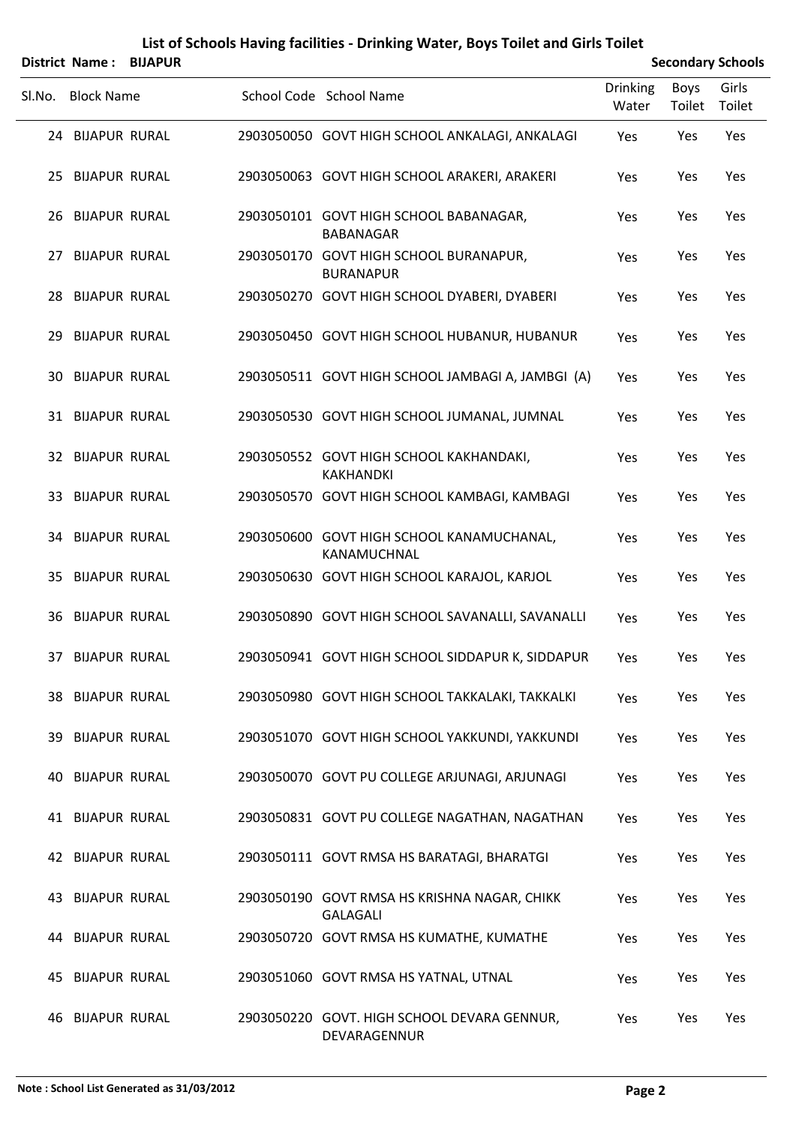|        | District Name:          | <b>BIJAPUR</b> |                                                                 |                          |                | <b>Secondary Schools</b> |
|--------|-------------------------|----------------|-----------------------------------------------------------------|--------------------------|----------------|--------------------------|
| SI.No. | <b>Block Name</b>       |                | School Code School Name                                         | <b>Drinking</b><br>Water | Boys<br>Toilet | Girls<br>Toilet          |
|        | 24 BIJAPUR RURAL        |                | 2903050050 GOVT HIGH SCHOOL ANKALAGI, ANKALAGI                  | Yes                      | Yes            | Yes                      |
|        | 25 BIJAPUR RURAL        |                | 2903050063 GOVT HIGH SCHOOL ARAKERI, ARAKERI                    | Yes                      | Yes            | Yes                      |
|        | 26 BIJAPUR RURAL        |                | 2903050101 GOVT HIGH SCHOOL BABANAGAR,<br><b>BABANAGAR</b>      | Yes                      | Yes            | Yes                      |
|        | 27 BIJAPUR RURAL        |                | 2903050170 GOVT HIGH SCHOOL BURANAPUR,<br><b>BURANAPUR</b>      | Yes                      | Yes            | Yes                      |
|        | 28 BIJAPUR RURAL        |                | 2903050270 GOVT HIGH SCHOOL DYABERI, DYABERI                    | Yes                      | Yes            | Yes                      |
| 29     | <b>BIJAPUR RURAL</b>    |                | 2903050450 GOVT HIGH SCHOOL HUBANUR, HUBANUR                    | Yes                      | Yes            | Yes                      |
|        | <b>30 BIJAPUR RURAL</b> |                | 2903050511 GOVT HIGH SCHOOL JAMBAGI A, JAMBGI (A)               | <b>Yes</b>               | Yes            | Yes                      |
|        | 31 BIJAPUR RURAL        |                | 2903050530 GOVT HIGH SCHOOL JUMANAL, JUMNAL                     | Yes                      | Yes            | Yes                      |
|        | 32 BIJAPUR RURAL        |                | 2903050552 GOVT HIGH SCHOOL KAKHANDAKI,<br><b>KAKHANDKI</b>     | Yes                      | Yes            | Yes                      |
|        | 33 BIJAPUR RURAL        |                | 2903050570 GOVT HIGH SCHOOL KAMBAGI, KAMBAGI                    | Yes                      | Yes            | Yes                      |
|        | <b>34 BIJAPUR RURAL</b> |                | 2903050600 GOVT HIGH SCHOOL KANAMUCHANAL,<br>KANAMUCHNAL        | Yes                      | Yes            | Yes                      |
|        | 35 BIJAPUR RURAL        |                | 2903050630 GOVT HIGH SCHOOL KARAJOL, KARJOL                     | Yes                      | Yes            | Yes                      |
|        | <b>36 BIJAPUR RURAL</b> |                | 2903050890 GOVT HIGH SCHOOL SAVANALLI, SAVANALLI                | Yes                      | Yes            | Yes                      |
|        | 37 BIJAPUR RURAL        |                | 2903050941 GOVT HIGH SCHOOL SIDDAPUR K, SIDDAPUR                | Yes                      | Yes            | Yes                      |
|        | <b>38 BIJAPUR RURAL</b> |                | 2903050980 GOVT HIGH SCHOOL TAKKALAKI, TAKKALKI                 | Yes                      | Yes            | Yes                      |
|        | <b>39 BIJAPUR RURAL</b> |                | 2903051070 GOVT HIGH SCHOOL YAKKUNDI, YAKKUNDI                  | Yes                      | Yes            | Yes                      |
|        | <b>40 BIJAPUR RURAL</b> |                | 2903050070 GOVT PU COLLEGE ARJUNAGI, ARJUNAGI                   | Yes                      | Yes            | Yes                      |
|        | 41 BIJAPUR RURAL        |                | 2903050831 GOVT PU COLLEGE NAGATHAN, NAGATHAN                   | Yes                      | Yes            | Yes                      |
|        | <b>42 BIJAPUR RURAL</b> |                | 2903050111 GOVT RMSA HS BARATAGI, BHARATGI                      | Yes                      | Yes            | Yes                      |
|        | 43 BIJAPUR RURAL        |                | 2903050190 GOVT RMSA HS KRISHNA NAGAR, CHIKK<br><b>GALAGALI</b> | Yes                      | Yes            | Yes                      |
|        | <b>44 BIJAPUR RURAL</b> |                | 2903050720 GOVT RMSA HS KUMATHE, KUMATHE                        | Yes                      | Yes            | Yes                      |
|        | 45 BIJAPUR RURAL        |                | 2903051060 GOVT RMSA HS YATNAL, UTNAL                           | Yes                      | Yes            | Yes                      |
|        | <b>46 BIJAPUR RURAL</b> |                | 2903050220 GOVT. HIGH SCHOOL DEVARA GENNUR,<br>DEVARAGENNUR     | Yes                      | Yes            | Yes                      |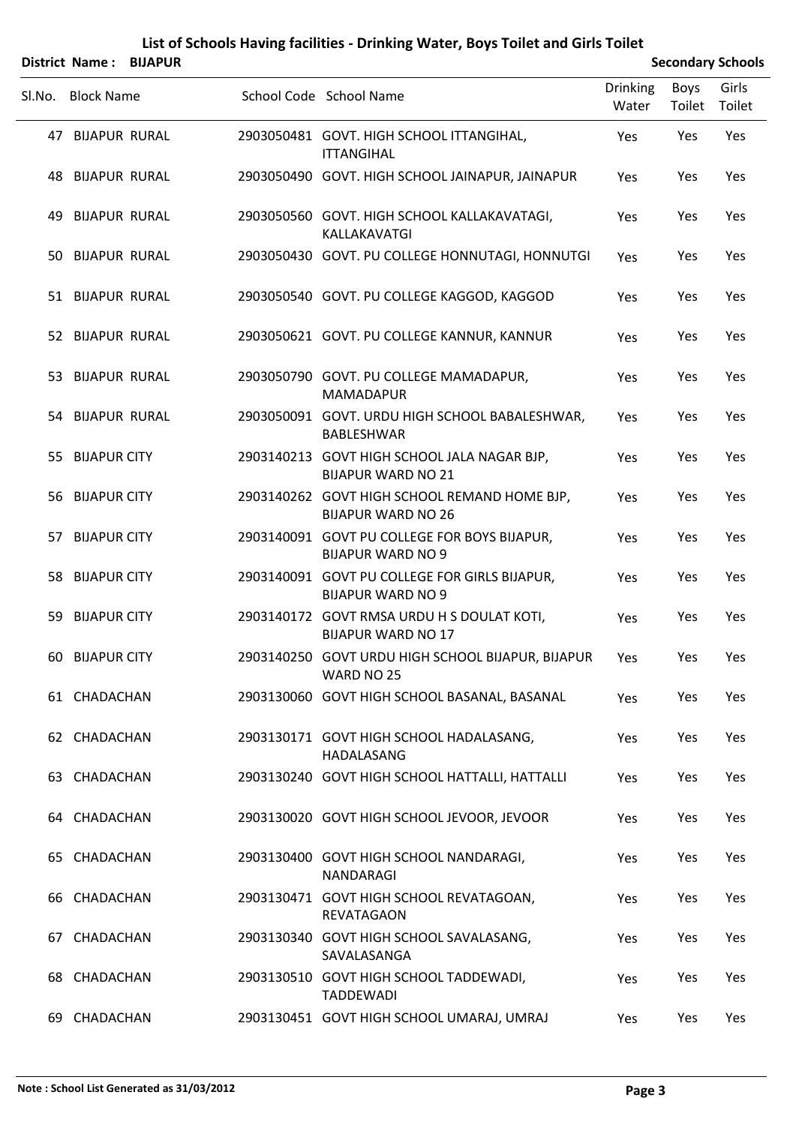|        | District Name: BIJAPUR  |  |                                                                           | <b>Secondary Schools</b> |                       |                 |  |
|--------|-------------------------|--|---------------------------------------------------------------------------|--------------------------|-----------------------|-----------------|--|
| Sl.No. | <b>Block Name</b>       |  | School Code School Name                                                   | <b>Drinking</b><br>Water | <b>Boys</b><br>Toilet | Girls<br>Toilet |  |
|        | 47 BIJAPUR RURAL        |  | 2903050481 GOVT. HIGH SCHOOL ITTANGIHAL,<br><b>ITTANGIHAL</b>             | Yes                      | Yes                   | Yes             |  |
|        | <b>48 BIJAPUR RURAL</b> |  | 2903050490 GOVT. HIGH SCHOOL JAINAPUR, JAINAPUR                           | Yes                      | Yes                   | Yes             |  |
|        | <b>49 BIJAPUR RURAL</b> |  | 2903050560 GOVT. HIGH SCHOOL KALLAKAVATAGI,<br>KALLAKAVATGI               | Yes                      | Yes                   | Yes             |  |
|        | 50 BIJAPUR RURAL        |  | 2903050430 GOVT. PU COLLEGE HONNUTAGI, HONNUTGI                           | Yes                      | Yes                   | Yes             |  |
|        | 51 BIJAPUR RURAL        |  | 2903050540 GOVT. PU COLLEGE KAGGOD, KAGGOD                                | Yes                      | Yes                   | Yes             |  |
|        | 52 BIJAPUR RURAL        |  | 2903050621 GOVT. PU COLLEGE KANNUR, KANNUR                                | Yes                      | Yes                   | Yes             |  |
|        | 53 BIJAPUR RURAL        |  | 2903050790 GOVT. PU COLLEGE MAMADAPUR,<br><b>MAMADAPUR</b>                | Yes                      | Yes                   | Yes             |  |
|        | 54 BIJAPUR RURAL        |  | 2903050091 GOVT. URDU HIGH SCHOOL BABALESHWAR,<br><b>BABLESHWAR</b>       | Yes                      | Yes                   | Yes             |  |
|        | 55 BIJAPUR CITY         |  | 2903140213 GOVT HIGH SCHOOL JALA NAGAR BJP,<br><b>BIJAPUR WARD NO 21</b>  | Yes                      | Yes                   | Yes             |  |
|        | 56 BIJAPUR CITY         |  | 2903140262 GOVT HIGH SCHOOL REMAND HOME BJP,<br><b>BIJAPUR WARD NO 26</b> | Yes                      | Yes                   | Yes             |  |
|        | 57 BIJAPUR CITY         |  | 2903140091 GOVT PU COLLEGE FOR BOYS BIJAPUR,<br><b>BIJAPUR WARD NO 9</b>  | Yes                      | Yes                   | Yes             |  |
|        | 58 BIJAPUR CITY         |  | 2903140091 GOVT PU COLLEGE FOR GIRLS BIJAPUR,<br><b>BIJAPUR WARD NO 9</b> | Yes                      | Yes                   | Yes             |  |
|        | 59 BIJAPUR CITY         |  | 2903140172 GOVT RMSA URDU H S DOULAT KOTI,<br><b>BIJAPUR WARD NO 17</b>   | Yes                      | Yes                   | Yes             |  |
|        | 60 BIJAPUR CITY         |  | 2903140250 GOVT URDU HIGH SCHOOL BIJAPUR, BIJAPUR Yes<br>WARD NO 25       |                          | Yes                   | Yes             |  |
|        | 61 CHADACHAN            |  | 2903130060 GOVT HIGH SCHOOL BASANAL, BASANAL                              | Yes                      | Yes                   | Yes             |  |
|        | 62 CHADACHAN            |  | 2903130171 GOVT HIGH SCHOOL HADALASANG,<br>HADALASANG                     | Yes                      | Yes                   | Yes             |  |
|        | 63 CHADACHAN            |  | 2903130240 GOVT HIGH SCHOOL HATTALLI, HATTALLI                            | Yes                      | Yes                   | Yes             |  |
|        | 64 CHADACHAN            |  | 2903130020 GOVT HIGH SCHOOL JEVOOR, JEVOOR                                | Yes                      | Yes                   | Yes             |  |
|        | 65 CHADACHAN            |  | 2903130400 GOVT HIGH SCHOOL NANDARAGI,<br>NANDARAGI                       | Yes                      | Yes                   | Yes             |  |
|        | 66 CHADACHAN            |  | 2903130471 GOVT HIGH SCHOOL REVATAGOAN,<br>REVATAGAON                     | Yes                      | Yes                   | Yes             |  |
|        | 67 CHADACHAN            |  | 2903130340 GOVT HIGH SCHOOL SAVALASANG,<br>SAVALASANGA                    | Yes                      | Yes                   | Yes             |  |
|        | 68 CHADACHAN            |  | 2903130510 GOVT HIGH SCHOOL TADDEWADI,<br><b>TADDEWADI</b>                | Yes                      | Yes                   | Yes             |  |
|        | 69 CHADACHAN            |  | 2903130451 GOVT HIGH SCHOOL UMARAJ, UMRAJ                                 | Yes                      | Yes                   | Yes             |  |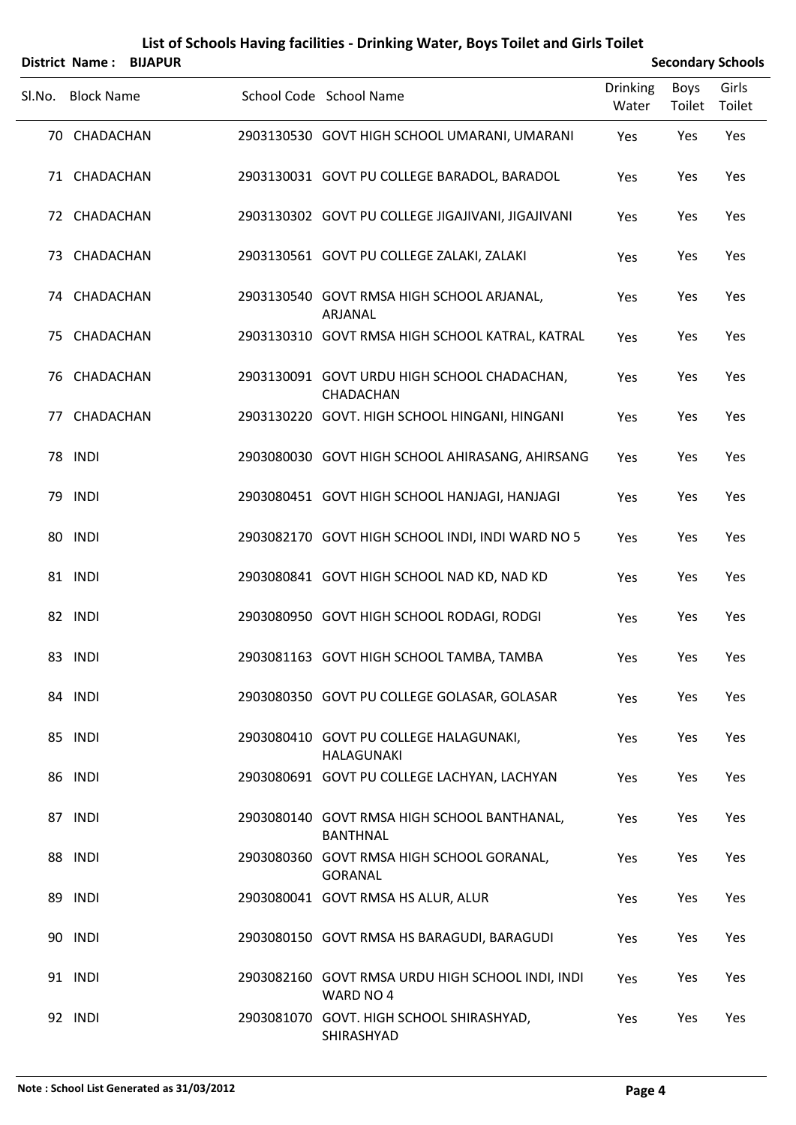# Sl.No. Block Name School Code School Name Drinking Water Boys Toilet Girls Toilet **District Name : BIJAPUR Secondary Schools Secondary Schools Secondary Schools** 70 CHADACHAN 2903130530 GOVT HIGH SCHOOL UMARANI, UMARANI Yes Yes Yes 71 CHADACHAN 2903130031 GOVT PU COLLEGE BARADOL, BARADOL Yes Yes Yes 72 CHADACHAN 2903130302 GOVT PU COLLEGE JIGAJIVANI, JIGAJIVANI Yes Yes Yes 73 CHADACHAN 2903130561 GOVT PU COLLEGE ZALAKI, ZALAKI Yes Yes Yes CHADACHAN 2903130540 GOVT RMSA HIGH SCHOOL ARJANAL, 74 Yes Yes Yes ARJANAL 75 CHADACHAN 2903130310 GOVT RMSA HIGH SCHOOL KATRAL, KATRAL Yes Yes Yes CHADACHAN 2903130091 GOVT URDU HIGH SCHOOL CHADACHAN, 76 Yes Yes Yes **CHADACHAN** 77 CHADACHAN 2903130220 GOVT. HIGH SCHOOL HINGANI, HINGANI Yes Yes Yes 78 INDI 2903080030 GOVT HIGH SCHOOL AHIRASANG, AHIRSANG Yes Yes Yes 79 INDI 2903080451 GOVT HIGH SCHOOL HANJAGI, HANJAGI Yes Yes Yes 80 INDI 2903082170 GOVT HIGH SCHOOL INDI, INDI WARD NO 5 Yes Yes Yes 81 INDI 2903080841 GOVT HIGH SCHOOL NAD KD, NAD KD Yes Yes Yes 82 INDI 2903080950 GOVT HIGH SCHOOL RODAGI, RODGI Yes Yes Yes 83 INDI 2903081163 GOVT HIGH SCHOOL TAMBA, TAMBA Yes Yes Yes 84 INDI 2903080350 GOVT PU COLLEGE GOLASAR, GOLASAR Yes Yes Yes INDI 2903080410 GOVT PU COLLEGE HALAGUNAKI, 85 Yes Yes Yes HALAGUNAKI 86 INDI 2903080691 GOVT PU COLLEGE LACHYAN, LACHYAN Yes Yes Yes INDI 2903080140 GOVT RMSA HIGH SCHOOL BANTHANAL, 87 Yes Yes Yes BANTHNAL INDI 2903080360 GOVT RMSA HIGH SCHOOL GORANAL, 88 Yes Yes Yes GORANAL 89 INDI 2903080041 GOVT RMSA HS ALUR, ALUR Yes Yes Yes 90 INDI 2903080150 GOVT RMSA HS BARAGUDI, BARAGUDI Yes Yes Yes INDI 2903082160 GOVT RMSA URDU HIGH SCHOOL INDI, INDI 91 Yes Yes Yes WARD NO 4

INDI 2903081070 GOVT. HIGH SCHOOL SHIRASHYAD, 92 Yes Yes Yes

SHIRASHYAD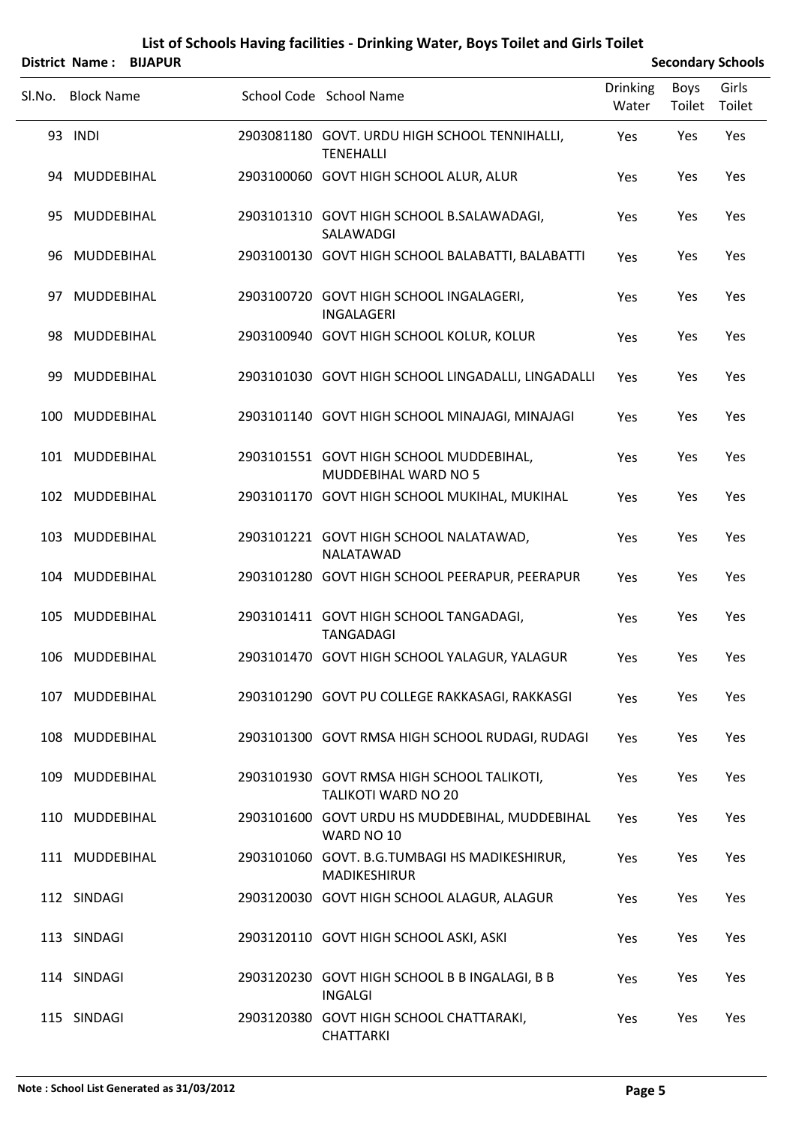## SLNo. Block Name School Code School Name Drinking Water Boys Toilet Girls Toilet **District Name : BIJAPUR Secondary Schools Secondary Schools Secondary Schools** INDI 2903081180 GOVT. URDU HIGH SCHOOL TENNIHALLI, 93 Yes Yes Yes **TFNFHALLI** 94 MUDDEBIHAL 2903100060 GOVT HIGH SCHOOL ALUR, ALUR Yes Yes Yes MUDDEBIHAL 2903101310 GOVT HIGH SCHOOL B.SALAWADAGI, 95 Yes Yes Yes SALAWADGI 96 MUDDEBIHAL 2903100130 GOVT HIGH SCHOOL BALABATTI, BALABATTI Yes Yes Yes MUDDEBIHAL 2903100720 GOVT HIGH SCHOOL INGALAGERI, 97 Yes Yes Yes INGALAGERI 98 MUDDEBIHAL 2903100940 GOVT HIGH SCHOOL KOLUR, KOLUR Yes Yes Yes 99 MUDDEBIHAL 2903101030 GOVT HIGH SCHOOL LINGADALLI, LINGADALLI Yes Yes Yes 100 MUDDEBIHAL 2903101140 GOVT HIGH SCHOOL MINAJAGI, MINAJAGI Yes Yes Yes MUDDEBIHAL 2903101551 GOVT HIGH SCHOOL MUDDEBIHAL, 101 Yes Yes Yes MUDDEBIHAL WARD NO 5 102 MUDDEBIHAL 2903101170 GOVT HIGH SCHOOL MUKIHAL, MUKIHAL Yes Yes Yes MUDDEBIHAL 2903101221 GOVT HIGH SCHOOL NALATAWAD, 103 Yes Yes Yes NALATAWAD 104 MUDDEBIHAL 2903101280 GOVT HIGH SCHOOL PEERAPUR, PEERAPUR Yes Yes Yes MUDDEBIHAL 2903101411 GOVT HIGH SCHOOL TANGADAGI, 105 Yes Yes Yes TANGADAGI 106 MUDDEBIHAL 2903101470 GOVT HIGH SCHOOL YALAGUR, YALAGUR Yes Yes Yes 107 MUDDEBIHAL 2903101290 GOVT PU COLLEGE RAKKASAGI, RAKKASGI Yes Yes Yes 108 MUDDEBIHAL 2903101300 GOVT RMSA HIGH SCHOOL RUDAGI, RUDAGI Yes Yes Yes MUDDEBIHAL 2903101930 GOVT RMSA HIGH SCHOOL TALIKOTI, 109 Yes Yes Yes TALIKOTI WARD NO 20 MUDDEBIHAL 2903101600 GOVT URDU HS MUDDEBIHAL, MUDDEBIHAL 110 Yes Yes Yes WARD NO 10 MUDDEBIHAL 2903101060 GOVT. B.G.TUMBAGI HS MADIKESHIRUR, 111 Yes Yes Yes MADIKESHIRUR 112 SINDAGI 2903120030 GOVT HIGH SCHOOL ALAGUR, ALAGUR Yes Yes Yes 113 SINDAGI 2903120110 GOVT HIGH SCHOOL ASKI, ASKI Yes Yes Yes 114 SINDAGI 2903120230 GOVT HIGH SCHOOL B B INGALAGI, B B Yes Yes Yes INGALGI

115 SINDAGI 2903120380 GOVT HIGH SCHOOL CHATTARAKI, Yes Yes Yes

**CHATTARKI**